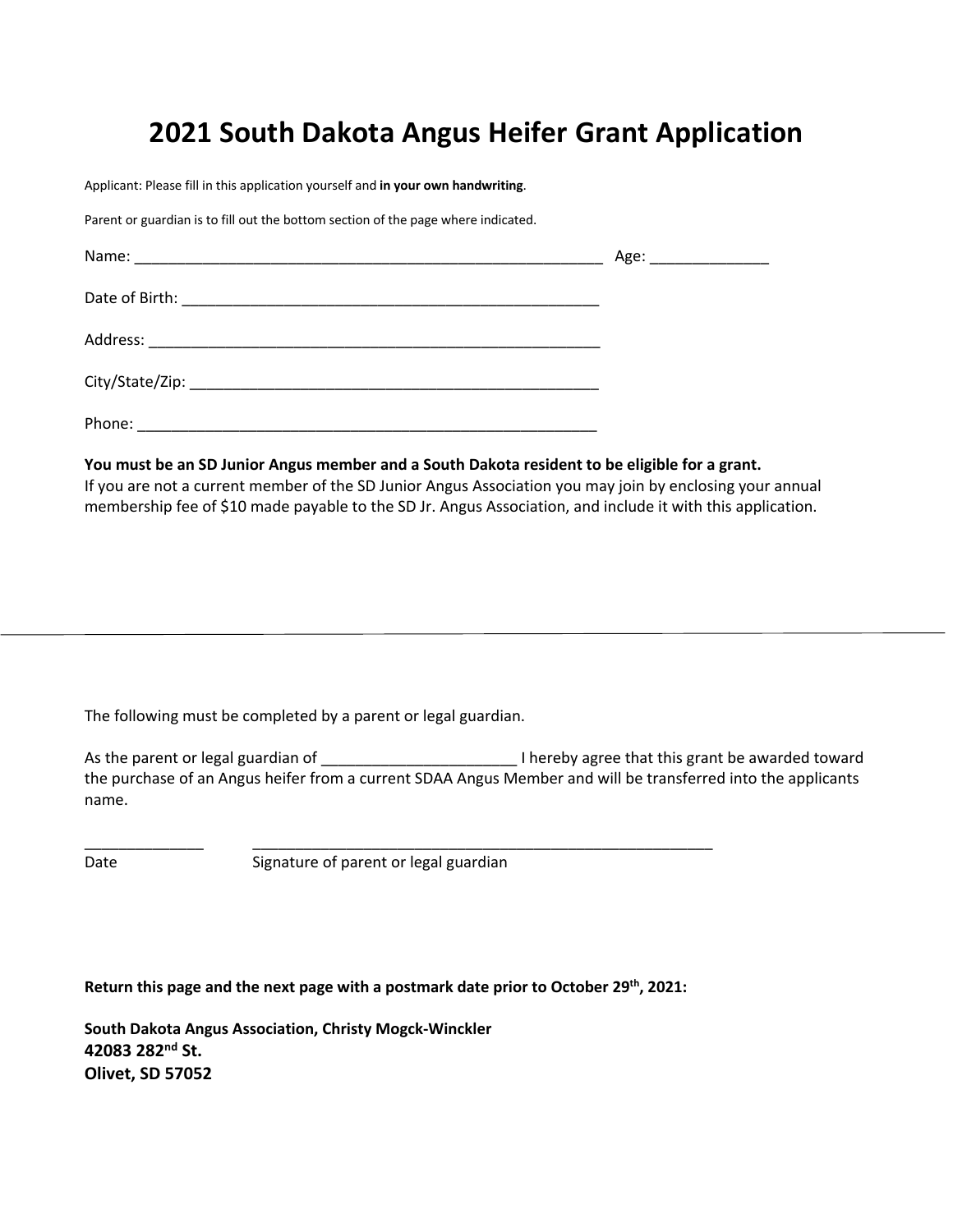# **2021 South Dakota Angus Heifer Grant Application**

Applicant: Please fill in this application yourself and **in your own handwriting**.

Parent or guardian is to fill out the bottom section of the page where indicated.

|                                                                                                                                         | Age: ________________ |
|-----------------------------------------------------------------------------------------------------------------------------------------|-----------------------|
|                                                                                                                                         |                       |
|                                                                                                                                         |                       |
|                                                                                                                                         |                       |
| Phone:<br><u> 1989 - Johann John Stone, mars et al. 1989 - John Stone, mars et al. 1989 - John Stone, mars et al. 1989 - John Stone</u> |                       |

**You must be an SD Junior Angus member and a South Dakota resident to be eligible for a grant.**

If you are not a current member of the SD Junior Angus Association you may join by enclosing your annual membership fee of \$10 made payable to the SD Jr. Angus Association, and include it with this application.

The following must be completed by a parent or legal guardian.

As the parent or legal guardian of \_\_\_\_\_\_\_\_\_\_\_\_\_\_\_\_\_\_\_\_\_\_\_ I hereby agree that this grant be awarded toward the purchase of an Angus heifer from a current SDAA Angus Member and will be transferred into the applicants name.

Date Signature of parent or legal guardian

\_\_\_\_\_\_\_\_\_\_\_\_\_\_ \_\_\_\_\_\_\_\_\_\_\_\_\_\_\_\_\_\_\_\_\_\_\_\_\_\_\_\_\_\_\_\_\_\_\_\_\_\_\_\_\_\_\_\_\_\_\_\_\_\_\_\_\_\_

Return this page and the next page with a postmark date prior to October 29<sup>th</sup>, 2021:

**South Dakota Angus Association, Christy Mogck-Winckler 42083 282nd St. Olivet, SD 57052**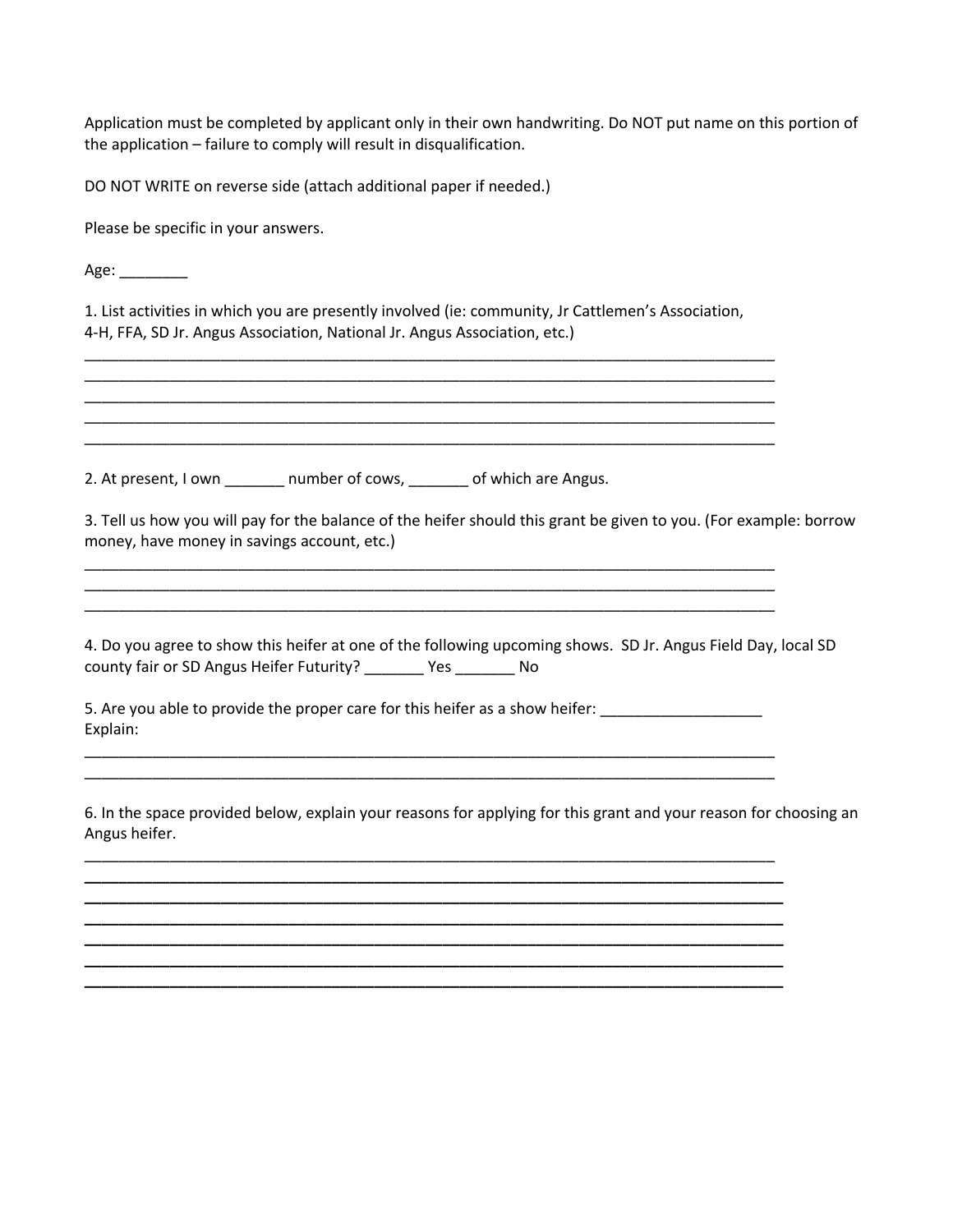Application must be completed by applicant only in their own handwriting. Do NOT put name on this portion of the application – failure to comply will result in disqualification.

DO NOT WRITE on reverse side (attach additional paper if needed.)

Please be specific in your answers.

Age: \_\_\_\_\_\_\_\_\_

1. List activities in which you are presently involved (ie: community, Jr Cattlemen's Association, 4-H, FFA, SD Jr. Angus Association, National Jr. Angus Association, etc.)

\_\_\_\_\_\_\_\_\_\_\_\_\_\_\_\_\_\_\_\_\_\_\_\_\_\_\_\_\_\_\_\_\_\_\_\_\_\_\_\_\_\_\_\_\_\_\_\_\_\_\_\_\_\_\_\_\_\_\_\_\_\_\_\_\_\_\_\_\_\_\_\_\_\_\_\_\_\_\_\_\_

\_\_\_\_\_\_\_\_\_\_\_\_\_\_\_\_\_\_\_\_\_\_\_\_\_\_\_\_\_\_\_\_\_\_\_\_\_\_\_\_\_\_\_\_\_\_\_\_\_\_\_\_\_\_\_\_\_\_\_\_\_\_\_\_\_\_\_\_\_\_\_\_\_\_\_\_\_\_\_\_\_ \_\_\_\_\_\_\_\_\_\_\_\_\_\_\_\_\_\_\_\_\_\_\_\_\_\_\_\_\_\_\_\_\_\_\_\_\_\_\_\_\_\_\_\_\_\_\_\_\_\_\_\_\_\_\_\_\_\_\_\_\_\_\_\_\_\_\_\_\_\_\_\_\_\_\_\_\_\_\_\_\_ \_\_\_\_\_\_\_\_\_\_\_\_\_\_\_\_\_\_\_\_\_\_\_\_\_\_\_\_\_\_\_\_\_\_\_\_\_\_\_\_\_\_\_\_\_\_\_\_\_\_\_\_\_\_\_\_\_\_\_\_\_\_\_\_\_\_\_\_\_\_\_\_\_\_\_\_\_\_\_\_\_

\_\_\_\_\_\_\_\_\_\_\_\_\_\_\_\_\_\_\_\_\_\_\_\_\_\_\_\_\_\_\_\_\_\_\_\_\_\_\_\_\_\_\_\_\_\_\_\_\_\_\_\_\_\_\_\_\_\_\_\_\_\_\_\_\_\_\_\_\_\_\_\_\_\_\_\_\_\_\_\_\_ \_\_\_\_\_\_\_\_\_\_\_\_\_\_\_\_\_\_\_\_\_\_\_\_\_\_\_\_\_\_\_\_\_\_\_\_\_\_\_\_\_\_\_\_\_\_\_\_\_\_\_\_\_\_\_\_\_\_\_\_\_\_\_\_\_\_\_\_\_\_\_\_\_\_\_\_\_\_\_\_\_ \_\_\_\_\_\_\_\_\_\_\_\_\_\_\_\_\_\_\_\_\_\_\_\_\_\_\_\_\_\_\_\_\_\_\_\_\_\_\_\_\_\_\_\_\_\_\_\_\_\_\_\_\_\_\_\_\_\_\_\_\_\_\_\_\_\_\_\_\_\_\_\_\_\_\_\_\_\_\_\_\_

2. At present, I own \_\_\_\_\_\_\_ number of cows, \_\_\_\_\_\_\_ of which are Angus.

3. Tell us how you will pay for the balance of the heifer should this grant be given to you. (For example: borrow money, have money in savings account, etc.)

4. Do you agree to show this heifer at one of the following upcoming shows. SD Jr. Angus Field Day, local SD county fair or SD Angus Heifer Futurity? \_\_\_\_\_\_\_ Yes \_\_\_\_\_\_\_ No

5. Are you able to provide the proper care for this heifer as a show heifer: Explain:

\_\_\_\_\_\_\_\_\_\_\_\_\_\_\_\_\_\_\_\_\_\_\_\_\_\_\_\_\_\_\_\_\_\_\_\_\_\_\_\_\_\_\_\_\_\_\_\_\_\_\_\_\_\_\_\_\_\_\_\_\_\_\_\_\_\_\_\_\_\_\_\_\_\_\_\_\_\_\_\_\_

\_\_\_\_\_\_\_\_\_\_\_\_\_\_\_\_\_\_\_\_\_\_\_\_\_\_\_\_\_\_\_\_\_\_\_\_\_\_\_\_\_\_\_\_\_\_\_\_\_\_\_\_\_\_\_\_\_\_\_\_\_\_\_\_\_\_\_\_\_\_\_\_\_\_\_\_\_\_\_\_\_ **\_\_\_\_\_\_\_\_\_\_\_\_\_\_\_\_\_\_\_\_\_\_\_\_\_\_\_\_\_\_\_\_\_\_\_\_\_\_\_\_\_\_\_\_\_\_\_\_\_\_\_\_\_\_\_\_\_\_\_\_\_\_\_\_\_\_\_\_\_\_\_\_\_\_\_\_\_\_\_\_\_\_ \_\_\_\_\_\_\_\_\_\_\_\_\_\_\_\_\_\_\_\_\_\_\_\_\_\_\_\_\_\_\_\_\_\_\_\_\_\_\_\_\_\_\_\_\_\_\_\_\_\_\_\_\_\_\_\_\_\_\_\_\_\_\_\_\_\_\_\_\_\_\_\_\_\_\_\_\_\_\_\_\_\_ \_\_\_\_\_\_\_\_\_\_\_\_\_\_\_\_\_\_\_\_\_\_\_\_\_\_\_\_\_\_\_\_\_\_\_\_\_\_\_\_\_\_\_\_\_\_\_\_\_\_\_\_\_\_\_\_\_\_\_\_\_\_\_\_\_\_\_\_\_\_\_\_\_\_\_\_\_\_\_\_\_\_ \_\_\_\_\_\_\_\_\_\_\_\_\_\_\_\_\_\_\_\_\_\_\_\_\_\_\_\_\_\_\_\_\_\_\_\_\_\_\_\_\_\_\_\_\_\_\_\_\_\_\_\_\_\_\_\_\_\_\_\_\_\_\_\_\_\_\_\_\_\_\_\_\_\_\_\_\_\_\_\_\_\_ \_\_\_\_\_\_\_\_\_\_\_\_\_\_\_\_\_\_\_\_\_\_\_\_\_\_\_\_\_\_\_\_\_\_\_\_\_\_\_\_\_\_\_\_\_\_\_\_\_\_\_\_\_\_\_\_\_\_\_\_\_\_\_\_\_\_\_\_\_\_\_\_\_\_\_\_\_\_\_\_\_\_ \_\_\_\_\_\_\_\_\_\_\_\_\_\_\_\_\_\_\_\_\_\_\_\_\_\_\_\_\_\_\_\_\_\_\_\_\_\_\_\_\_\_\_\_\_\_\_\_\_\_\_\_\_\_\_\_\_\_\_\_\_\_\_\_\_\_\_\_\_\_\_\_\_\_\_\_\_\_\_\_\_\_**

6. In the space provided below, explain your reasons for applying for this grant and your reason for choosing an Angus heifer.